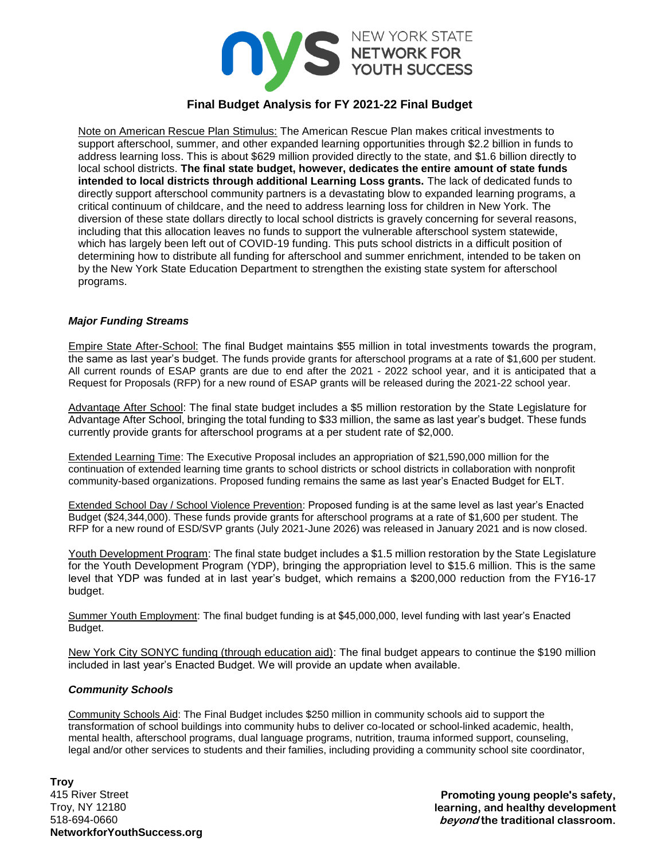

# **Final Budget Analysis for FY 2021-22 Final Budget**

Note on American Rescue Plan Stimulus: The American Rescue Plan makes critical investments to support afterschool, summer, and other expanded learning opportunities through \$2.2 billion in funds to address learning loss. This is about \$629 million provided directly to the state, and \$1.6 billion directly to local school districts. **The final state budget, however, dedicates the entire amount of state funds intended to local districts through additional Learning Loss grants.** The lack of dedicated funds to directly support afterschool community partners is a devastating blow to expanded learning programs, a critical continuum of childcare, and the need to address learning loss for children in New York. The diversion of these state dollars directly to local school districts is gravely concerning for several reasons, including that this allocation leaves no funds to support the vulnerable afterschool system statewide, which has largely been left out of COVID-19 funding. This puts school districts in a difficult position of determining how to distribute all funding for afterschool and summer enrichment, intended to be taken on by the New York State Education Department to strengthen the existing state system for afterschool programs.

### *Major Funding Streams*

Empire State After-School: The final Budget maintains \$55 million in total investments towards the program, the same as last year's budget. The funds provide grants for afterschool programs at a rate of \$1,600 per student. All current rounds of ESAP grants are due to end after the 2021 - 2022 school year, and it is anticipated that a Request for Proposals (RFP) for a new round of ESAP grants will be released during the 2021-22 school year.

Advantage After School: The final state budget includes a \$5 million restoration by the State Legislature for Advantage After School, bringing the total funding to \$33 million, the same as last year's budget. These funds currently provide grants for afterschool programs at a per student rate of \$2,000.

Extended Learning Time: The Executive Proposal includes an appropriation of \$21,590,000 million for the continuation of extended learning time grants to school districts or school districts in collaboration with nonprofit community-based organizations. Proposed funding remains the same as last year's Enacted Budget for ELT.

Extended School Day / School Violence Prevention: Proposed funding is at the same level as last year's Enacted Budget (\$24,344,000). These funds provide grants for afterschool programs at a rate of \$1,600 per student. The RFP for a new round of ESD/SVP grants (July 2021-June 2026) was released in January 2021 and is now closed.

Youth Development Program: The final state budget includes a \$1.5 million restoration by the State Legislature for the Youth Development Program (YDP), bringing the appropriation level to \$15.6 million. This is the same level that YDP was funded at in last year's budget, which remains a \$200,000 reduction from the FY16-17 budget.

Summer Youth Employment: The final budget funding is at \$45,000,000, level funding with last year's Enacted Budget.

New York City SONYC funding (through education aid): The final budget appears to continue the \$190 million included in last year's Enacted Budget. We will provide an update when available.

#### *Community Schools*

Community Schools Aid: The Final Budget includes \$250 million in community schools aid to support the transformation of school buildings into community hubs to deliver co-located or school-linked academic, health, mental health, afterschool programs, dual language programs, nutrition, trauma informed support, counseling, legal and/or other services to students and their families, including providing a community school site coordinator,

**Troy** 415 River Street Troy, NY 12180 518-694-0660 **NetworkforYouthSuccess.org**

**Promoting young people's safety, learning, and healthy development beyond the traditional classroom.**